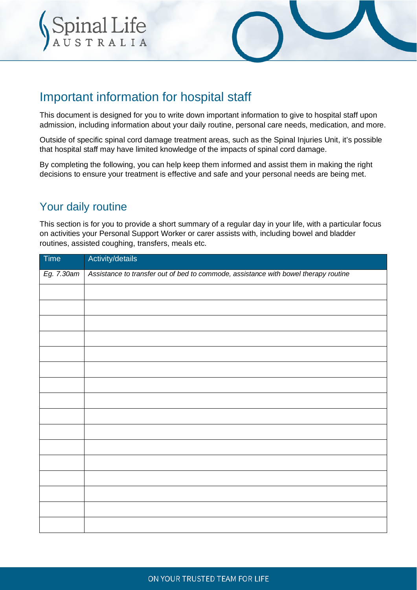



# Important information for hospital staff

This document is designed for you to write down important information to give to hospital staff upon admission, including information about your daily routine, personal care needs, medication, and more.

Outside of specific spinal cord damage treatment areas, such as the Spinal Injuries Unit, it's possible that hospital staff may have limited knowledge of the impacts of spinal cord damage.

By completing the following, you can help keep them informed and assist them in making the right decisions to ensure your treatment is effective and safe and your personal needs are being met.

### Your daily routine

This section is for you to provide a short summary of a regular day in your life, with a particular focus on activities your Personal Support Worker or carer assists with, including bowel and bladder routines, assisted coughing, transfers, meals etc.

| Time       | Activity/details                                                                    |
|------------|-------------------------------------------------------------------------------------|
| Eg. 7.30am | Assistance to transfer out of bed to commode, assistance with bowel therapy routine |
|            |                                                                                     |
|            |                                                                                     |
|            |                                                                                     |
|            |                                                                                     |
|            |                                                                                     |
|            |                                                                                     |
|            |                                                                                     |
|            |                                                                                     |
|            |                                                                                     |
|            |                                                                                     |
|            |                                                                                     |
|            |                                                                                     |
|            |                                                                                     |
|            |                                                                                     |
|            |                                                                                     |
|            |                                                                                     |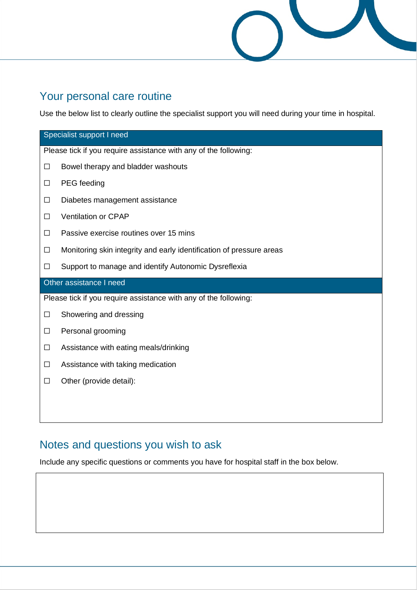

### Your personal care routine

Use the below list to clearly outline the specialist support you will need during your time in hospital.

| Specialist support I need                                        |                                                                      |  |  |  |
|------------------------------------------------------------------|----------------------------------------------------------------------|--|--|--|
| Please tick if you require assistance with any of the following: |                                                                      |  |  |  |
| $\Box$                                                           | Bowel therapy and bladder washouts                                   |  |  |  |
| $\Box$                                                           | PEG feeding                                                          |  |  |  |
| $\Box$                                                           | Diabetes management assistance                                       |  |  |  |
| $\Box$                                                           | Ventilation or CPAP                                                  |  |  |  |
| $\Box$                                                           | Passive exercise routines over 15 mins                               |  |  |  |
| $\Box$                                                           | Monitoring skin integrity and early identification of pressure areas |  |  |  |
| □                                                                | Support to manage and identify Autonomic Dysreflexia                 |  |  |  |
| Other assistance I need                                          |                                                                      |  |  |  |
|                                                                  | Please tick if you require assistance with any of the following:     |  |  |  |
| $\Box$                                                           | Showering and dressing                                               |  |  |  |
| $\Box$                                                           | Personal grooming                                                    |  |  |  |
| $\Box$                                                           | Assistance with eating meals/drinking                                |  |  |  |
| $\Box$                                                           | Assistance with taking medication                                    |  |  |  |
| $\Box$                                                           | Other (provide detail):                                              |  |  |  |
|                                                                  |                                                                      |  |  |  |
|                                                                  |                                                                      |  |  |  |

## Notes and questions you wish to ask

Include any specific questions or comments you have for hospital staff in the box below.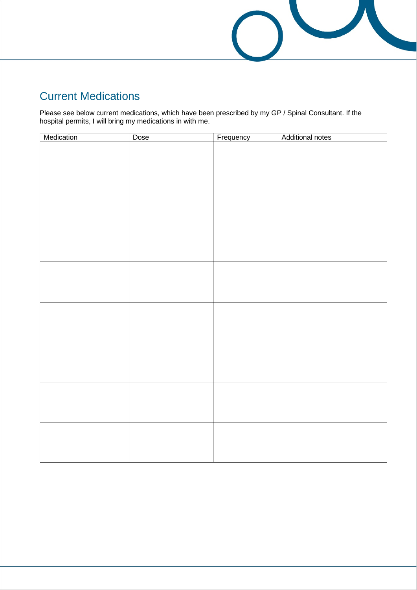

# Current Medications

Please see below current medications, which have been prescribed by my GP / Spinal Consultant. If the hospital permits, I will bring my medications in with me.

| Medication | Dose | Frequency | Additional notes |
|------------|------|-----------|------------------|
|            |      |           |                  |
|            |      |           |                  |
|            |      |           |                  |
|            |      |           |                  |
|            |      |           |                  |
|            |      |           |                  |
|            |      |           |                  |
|            |      |           |                  |
|            |      |           |                  |
|            |      |           |                  |
|            |      |           |                  |
|            |      |           |                  |
|            |      |           |                  |
|            |      |           |                  |
|            |      |           |                  |
|            |      |           |                  |
|            |      |           |                  |
|            |      |           |                  |
|            |      |           |                  |
|            |      |           |                  |
|            |      |           |                  |
|            |      |           |                  |
|            |      |           |                  |
|            |      |           |                  |
|            |      |           |                  |
|            |      |           |                  |
|            |      |           |                  |
|            |      |           |                  |
|            |      |           |                  |
|            |      |           |                  |
|            |      |           |                  |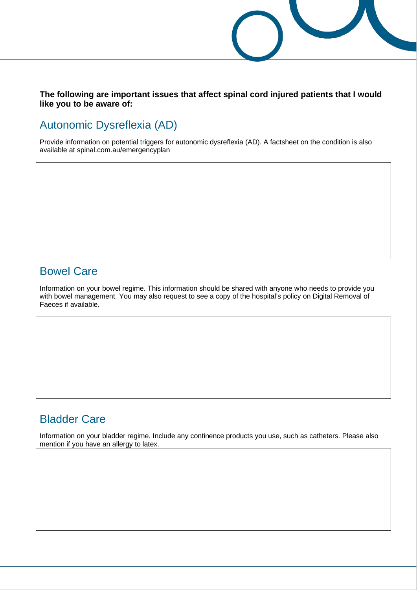**The following are important issues that affect spinal cord injured patients that I would like you to be aware of:** 

### Autonomic Dysreflexia (AD)

Provide information on potential triggers for autonomic dysreflexia (AD). A factsheet on the condition is also available at spinal.com.au/emergencyplan

#### Bowel Care

Information on your bowel regime. This information should be shared with anyone who needs to provide you with bowel management. You may also request to see a copy of the hospital's policy on Digital Removal of Faeces if available.

#### Bladder Care

Information on your bladder regime. Include any continence products you use, such as catheters. Please also mention if you have an allergy to latex.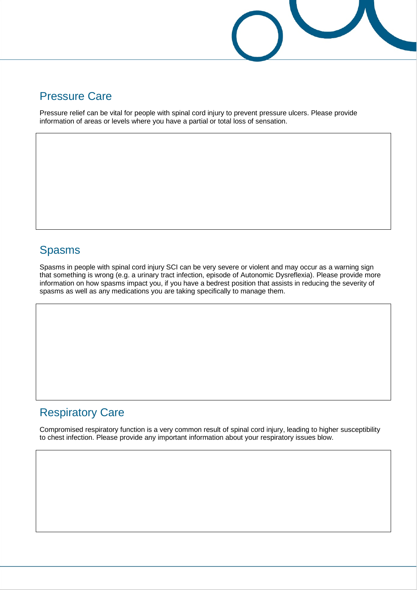

#### Pressure Care

Pressure relief can be vital for people with spinal cord injury to prevent pressure ulcers. Please provide information of areas or levels where you have a partial or total loss of sensation.

### Spasms

Spasms in people with spinal cord injury SCI can be very severe or violent and may occur as a warning sign that something is wrong (e.g. a urinary tract infection, episode of Autonomic Dysreflexia). Please provide more information on how spasms impact you, if you have a bedrest position that assists in reducing the severity of spasms as well as any medications you are taking specifically to manage them.

## Respiratory Care

Compromised respiratory function is a very common result of spinal cord injury, leading to higher susceptibility to chest infection. Please provide any important information about your respiratory issues blow.